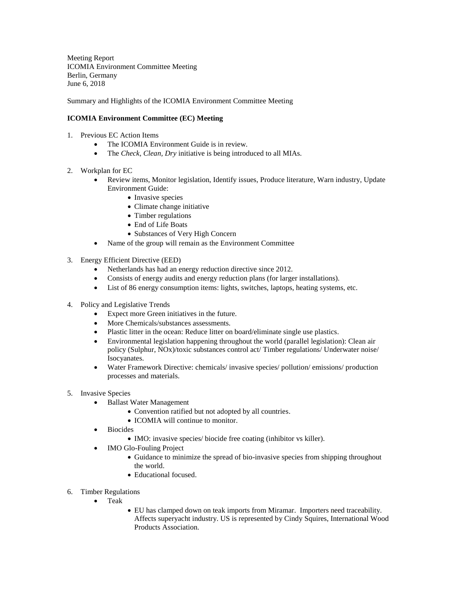Meeting Report ICOMIA Environment Committee Meeting Berlin, Germany June 6, 2018

Summary and Highlights of the ICOMIA Environment Committee Meeting

## **ICOMIA Environment Committee (EC) Meeting**

- 1. Previous EC Action Items
	- The ICOMIA Environment Guide is in review.
	- The *Check, Clean, Dry* initiative is being introduced to all MIAs.
- 2. Workplan for EC
	- Review items, Monitor legislation, Identify issues, Produce literature, Warn industry, Update Environment Guide:
		- Invasive species
		- Climate change initiative
		- Timber regulations
		- End of Life Boats
		- Substances of Very High Concern
	- Name of the group will remain as the Environment Committee
- 3. Energy Efficient Directive (EED)
	- Netherlands has had an energy reduction directive since 2012.
	- Consists of energy audits and energy reduction plans (for larger installations).
	- List of 86 energy consumption items: lights, switches, laptops, heating systems, etc.
- 4. Policy and Legislative Trends
	- Expect more Green initiatives in the future.
	- More Chemicals/substances assessments.
	- Plastic litter in the ocean: Reduce litter on board/eliminate single use plastics.
	- Environmental legislation happening throughout the world (parallel legislation): Clean air policy (Sulphur, NOx)/toxic substances control act/ Timber regulations/ Underwater noise/ Isocyanates.
	- Water Framework Directive: chemicals/ invasive species/ pollution/ emissions/ production processes and materials.
- 5. Invasive Species
	- Ballast Water Management
		- Convention ratified but not adopted by all countries.
		- ICOMIA will continue to monitor.
	- Biocides
		- IMO: invasive species/ biocide free coating (inhibitor vs killer).
	- IMO Glo-Fouling Project
		- Guidance to minimize the spread of bio-invasive species from shipping throughout the world.
		- Educational focused.
- 6. Timber Regulations
	- Teak
- EU has clamped down on teak imports from Miramar. Importers need traceability. Affects superyacht industry. US is represented by Cindy Squires, International Wood Products Association.